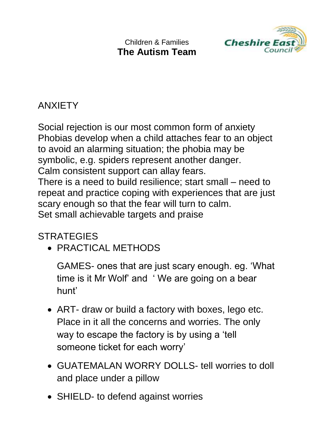Children & Families **The Autism Team**



## ANXIETY

Social rejection is our most common form of anxiety Phobias develop when a child attaches fear to an object to avoid an alarming situation; the phobia may be symbolic, e.g. spiders represent another danger. Calm consistent support can allay fears. There is a need to build resilience; start small – need to repeat and practice coping with experiences that are just scary enough so that the fear will turn to calm. Set small achievable targets and praise

## **STRATEGIES**

• PRACTICAL METHODS

GAMES- ones that are just scary enough. eg. 'What time is it Mr Wolf' and ' We are going on a bear hunt'

- ART- draw or build a factory with boxes, lego etc. Place in it all the concerns and worries. The only way to escape the factory is by using a 'tell someone ticket for each worry'
- GUATEMALAN WORRY DOLLS- tell worries to doll and place under a pillow
- SHIELD- to defend against worries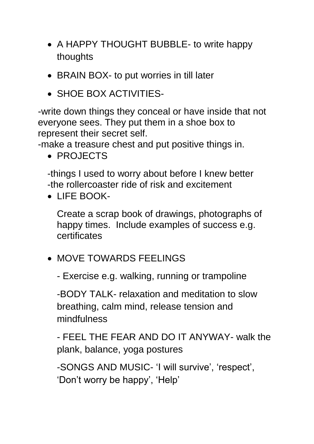- A HAPPY THOUGHT BUBBLE- to write happy thoughts
- BRAIN BOX- to put worries in till later
- SHOE BOX ACTIVITIES-

-write down things they conceal or have inside that not everyone sees. They put them in a shoe box to represent their secret self.

-make a treasure chest and put positive things in.

• PROJECTS

-things I used to worry about before I knew better -the rollercoaster ride of risk and excitement

 $\bullet$  LIFF BOOK-

Create a scrap book of drawings, photographs of happy times. Include examples of success e.g. certificates

- MOVE TOWARDS FEELINGS
	- Exercise e.g. walking, running or trampoline

-BODY TALK- relaxation and meditation to slow breathing, calm mind, release tension and mindfulness

- FEEL THE FEAR AND DO IT ANYWAY- walk the plank, balance, yoga postures

-SONGS AND MUSIC- 'I will survive', 'respect', 'Don't worry be happy', 'Help'